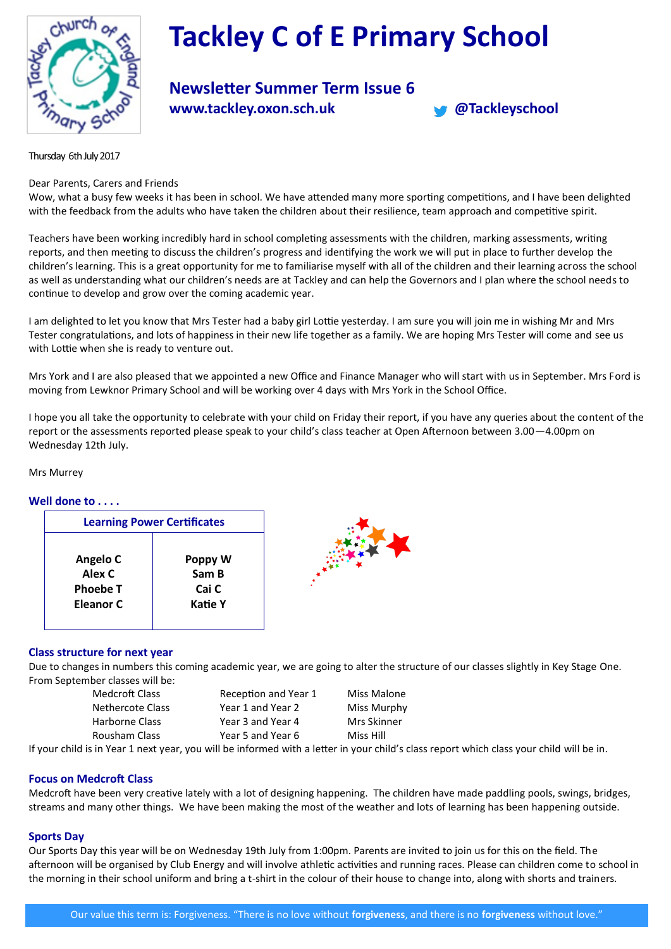

# **Tackley C of E Primary School**

# **Newsletter Summer Term Issue 6 www.tackley.oxon.sch.uk @Tackleyschool**



Thursday 6th July 2017

### Dear Parents, Carers and Friends

Wow, what a busy few weeks it has been in school. We have attended many more sporting competitions, and I have been delighted with the feedback from the adults who have taken the children about their resilience, team approach and competitive spirit.

Teachers have been working incredibly hard in school completing assessments with the children, marking assessments, writing reports, and then meeting to discuss the children's progress and identifying the work we will put in place to further develop the children's learning. This is a great opportunity for me to familiarise myself with all of the children and their learning across the school as well as understanding what our children's needs are at Tackley and can help the Governors and I plan where the school needs to continue to develop and grow over the coming academic year.

I am delighted to let you know that Mrs Tester had a baby girl Lottie yesterday. I am sure you will join me in wishing Mr and Mrs Tester congratulations, and lots of happiness in their new life together as a family. We are hoping Mrs Tester will come and see us with Lottie when she is ready to venture out.

Mrs York and I are also pleased that we appointed a new Office and Finance Manager who will start with us in September. Mrs Ford is moving from Lewknor Primary School and will be working over 4 days with Mrs York in the School Office.

I hope you all take the opportunity to celebrate with your child on Friday their report, if you have any queries about the content of the report or the assessments reported please speak to your child's class teacher at Open Afternoon between 3.00—4.00pm on Wednesday 12th July.

Mrs Murrey

#### **Well done to . . . .**

| <b>Learning Power Certificates</b> |         |  |
|------------------------------------|---------|--|
| Angelo C                           | Poppy W |  |
| Alex C                             | Sam B   |  |
| <b>Phoebe T</b>                    | Cai C   |  |
| Eleanor C                          | Katie Y |  |



# **Class structure for next year**

Due to changes in numbers this coming academic year, we are going to alter the structure of our classes slightly in Key Stage One. From September classes will be:

| Medcroft Class   | Reception and Year 1 | Miss Malone                                                                                                                 |
|------------------|----------------------|-----------------------------------------------------------------------------------------------------------------------------|
| Nethercote Class | Year 1 and Year 2    | Miss Murphy                                                                                                                 |
| Harborne Class   | Year 3 and Year 4    | Mrs Skinner                                                                                                                 |
| Rousham Class    | Year 5 and Year 6    | Miss Hill                                                                                                                   |
|                  |                      | d is in Yoar 1 novt yoar, vou will be informed with a letter in your shild's slass report which slass your shild will be in |

If your child is in Year 1 next year, you will be informed with a letter in your child's class report which class your child will be in.

# **Focus on Medcroft Class**

Medcroft have been very creative lately with a lot of designing happening. The children have made paddling pools, swings, bridges, streams and many other things. We have been making the most of the weather and lots of learning has been happening outside.

#### **Sports Day**

Our Sports Day this year will be on Wednesday 19th July from 1:00pm. Parents are invited to join us for this on the field. The afternoon will be organised by Club Energy and will involve athletic activities and running races. Please can children come to school in the morning in their school uniform and bring a t-shirt in the colour of their house to change into, along with shorts and trainers.